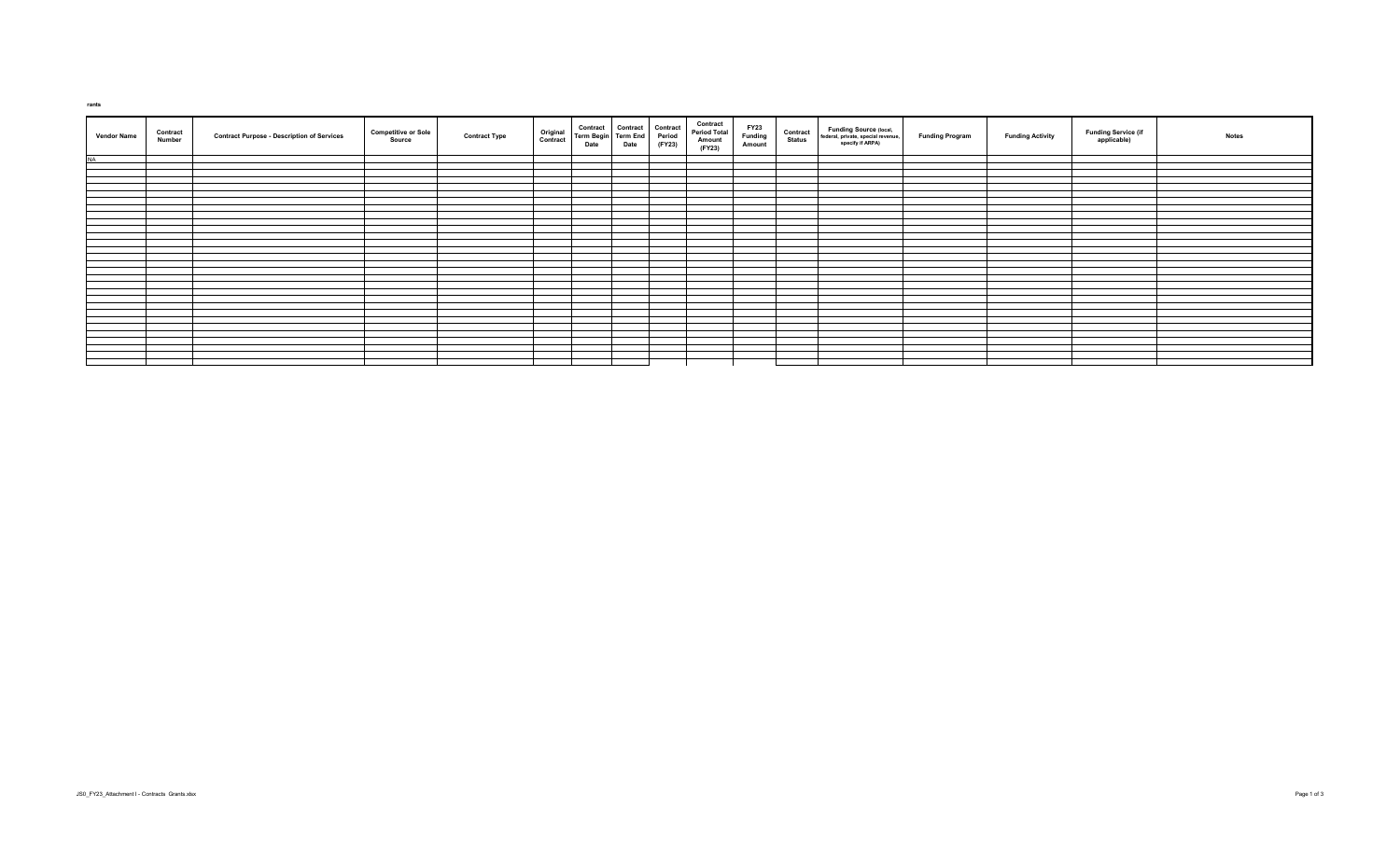| <b>Vendor Name</b> | Contract<br>Number | <b>Contract Purpose - Description of Services</b> | <b>Competitive or Sole</b><br>Source | Original<br>Contract<br><b>Contract Type</b> | Contract Contract Contract<br>Term Begin Term End Period<br>Date Date (FY23) | <b>Contract<br/>Period Total<br/>Amount</b><br>(FY23) | FY23<br>Funding<br>Amount | <b>Contract</b><br>Status | <b>Funding Source (local,</b><br>federal, private, special revenue,<br>specify if ARPA) | <b>Funding Program</b> | <b>Funding Activity</b> | Funding Service (if<br>applicable) | <b>Notes</b> |
|--------------------|--------------------|---------------------------------------------------|--------------------------------------|----------------------------------------------|------------------------------------------------------------------------------|-------------------------------------------------------|---------------------------|---------------------------|-----------------------------------------------------------------------------------------|------------------------|-------------------------|------------------------------------|--------------|
| <b>NA</b>          |                    |                                                   |                                      |                                              |                                                                              |                                                       |                           |                           |                                                                                         |                        |                         |                                    |              |
|                    |                    |                                                   |                                      |                                              |                                                                              |                                                       |                           |                           |                                                                                         |                        |                         |                                    |              |
|                    |                    |                                                   |                                      |                                              |                                                                              |                                                       |                           |                           |                                                                                         |                        |                         |                                    |              |
|                    |                    |                                                   |                                      |                                              |                                                                              |                                                       |                           |                           |                                                                                         |                        |                         |                                    |              |
|                    |                    |                                                   |                                      |                                              |                                                                              |                                                       |                           |                           |                                                                                         |                        |                         |                                    |              |
|                    |                    |                                                   |                                      |                                              |                                                                              |                                                       |                           |                           |                                                                                         |                        |                         |                                    |              |
|                    |                    |                                                   |                                      |                                              |                                                                              |                                                       |                           |                           |                                                                                         |                        |                         |                                    |              |
|                    |                    |                                                   |                                      |                                              |                                                                              |                                                       |                           |                           |                                                                                         |                        |                         |                                    |              |
|                    |                    |                                                   |                                      |                                              |                                                                              |                                                       |                           |                           |                                                                                         |                        |                         |                                    |              |
|                    |                    |                                                   |                                      |                                              |                                                                              |                                                       |                           |                           |                                                                                         |                        |                         |                                    |              |
|                    |                    |                                                   |                                      |                                              |                                                                              |                                                       |                           |                           |                                                                                         |                        |                         |                                    |              |
|                    |                    |                                                   |                                      |                                              |                                                                              |                                                       |                           |                           |                                                                                         |                        |                         |                                    |              |
|                    |                    |                                                   |                                      |                                              |                                                                              |                                                       |                           |                           |                                                                                         |                        |                         |                                    |              |
|                    |                    |                                                   |                                      |                                              |                                                                              |                                                       |                           |                           |                                                                                         |                        |                         |                                    |              |
|                    |                    |                                                   |                                      |                                              |                                                                              |                                                       |                           |                           |                                                                                         |                        |                         |                                    |              |
|                    |                    |                                                   |                                      |                                              |                                                                              |                                                       |                           |                           |                                                                                         |                        |                         |                                    |              |
|                    |                    |                                                   |                                      |                                              |                                                                              |                                                       |                           |                           |                                                                                         |                        |                         |                                    |              |
|                    |                    |                                                   |                                      |                                              |                                                                              |                                                       |                           |                           |                                                                                         |                        |                         |                                    |              |
|                    |                    |                                                   |                                      |                                              |                                                                              |                                                       |                           |                           |                                                                                         |                        |                         |                                    |              |
|                    |                    |                                                   |                                      |                                              |                                                                              |                                                       |                           |                           |                                                                                         |                        |                         |                                    |              |
|                    |                    |                                                   |                                      |                                              |                                                                              |                                                       |                           |                           |                                                                                         |                        |                         |                                    |              |
|                    |                    |                                                   |                                      |                                              |                                                                              |                                                       |                           |                           |                                                                                         |                        |                         |                                    |              |
|                    |                    |                                                   |                                      |                                              |                                                                              |                                                       |                           |                           |                                                                                         |                        |                         |                                    |              |
|                    |                    |                                                   |                                      |                                              |                                                                              |                                                       |                           |                           |                                                                                         |                        |                         |                                    |              |
|                    |                    |                                                   |                                      |                                              |                                                                              |                                                       |                           |                           |                                                                                         |                        |                         |                                    |              |
|                    |                    |                                                   |                                      |                                              |                                                                              |                                                       |                           |                           |                                                                                         |                        |                         |                                    |              |
|                    |                    |                                                   |                                      |                                              |                                                                              |                                                       |                           |                           |                                                                                         |                        |                         |                                    |              |
|                    |                    |                                                   |                                      |                                              |                                                                              |                                                       |                           |                           |                                                                                         |                        |                         |                                    |              |
|                    |                    |                                                   |                                      |                                              |                                                                              |                                                       |                           |                           |                                                                                         |                        |                         |                                    |              |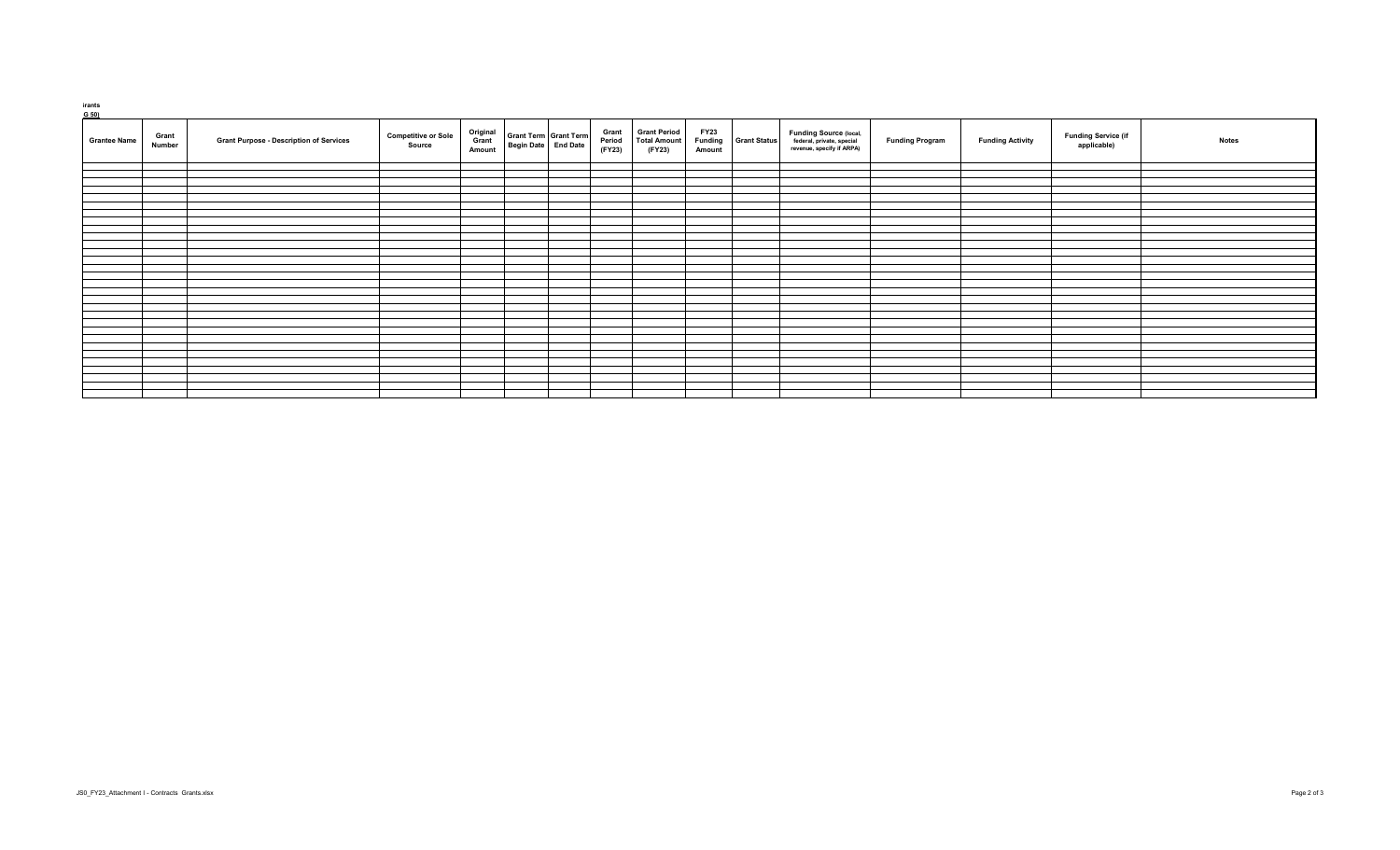| <b>Grantee Name</b> | Grant<br>Number | <b>Grant Purpose - Description of Services</b> | <b>Competitive or Sole</b><br>Source | Original<br>Grant<br>Amount | Grant Term Grant Term<br>Begin Date End Date | Grant<br>Period<br>(FY23) | <b>Grant Period</b><br><b>Total Amount</b><br>(FY23) | <b>FY23</b><br><b>Funding</b><br>Amount | <b>Grant Status</b> | Funding Source (local,<br>federal, private, special<br>revenue, specify if ARPA) | <b>Funding Program</b> | <b>Funding Activity</b> | <b>Funding Service (if</b><br>applicable) | <b>Notes</b> |
|---------------------|-----------------|------------------------------------------------|--------------------------------------|-----------------------------|----------------------------------------------|---------------------------|------------------------------------------------------|-----------------------------------------|---------------------|----------------------------------------------------------------------------------|------------------------|-------------------------|-------------------------------------------|--------------|
|                     |                 |                                                |                                      |                             |                                              |                           |                                                      |                                         |                     |                                                                                  |                        |                         |                                           |              |
|                     |                 |                                                |                                      |                             |                                              |                           |                                                      |                                         |                     |                                                                                  |                        |                         |                                           |              |
|                     |                 |                                                |                                      |                             |                                              |                           |                                                      |                                         |                     |                                                                                  |                        |                         |                                           |              |
|                     |                 |                                                |                                      |                             |                                              |                           |                                                      |                                         |                     |                                                                                  |                        |                         |                                           |              |
|                     |                 |                                                |                                      |                             |                                              |                           |                                                      |                                         |                     |                                                                                  |                        |                         |                                           |              |
|                     |                 |                                                |                                      |                             |                                              |                           |                                                      |                                         |                     |                                                                                  |                        |                         |                                           |              |
|                     |                 |                                                |                                      |                             |                                              |                           |                                                      |                                         |                     |                                                                                  |                        |                         |                                           |              |
|                     |                 |                                                |                                      |                             |                                              |                           |                                                      |                                         |                     |                                                                                  |                        |                         |                                           |              |
|                     |                 |                                                |                                      |                             |                                              |                           |                                                      |                                         |                     |                                                                                  |                        |                         |                                           |              |
|                     |                 |                                                |                                      |                             |                                              |                           |                                                      |                                         |                     |                                                                                  |                        |                         |                                           |              |
|                     |                 |                                                |                                      |                             |                                              |                           |                                                      |                                         |                     |                                                                                  |                        |                         |                                           |              |
|                     |                 |                                                |                                      |                             |                                              |                           |                                                      |                                         |                     |                                                                                  |                        |                         |                                           |              |
|                     |                 |                                                |                                      |                             |                                              |                           |                                                      |                                         |                     |                                                                                  |                        |                         |                                           |              |
|                     |                 |                                                |                                      |                             |                                              |                           |                                                      |                                         |                     |                                                                                  |                        |                         |                                           |              |
|                     |                 |                                                |                                      |                             |                                              |                           |                                                      |                                         |                     |                                                                                  |                        |                         |                                           |              |
|                     |                 |                                                |                                      |                             |                                              |                           |                                                      |                                         |                     |                                                                                  |                        |                         |                                           |              |
|                     |                 |                                                |                                      |                             |                                              |                           |                                                      |                                         |                     |                                                                                  |                        |                         |                                           |              |
|                     |                 |                                                |                                      |                             |                                              |                           |                                                      |                                         |                     |                                                                                  |                        |                         |                                           |              |
|                     |                 |                                                |                                      |                             |                                              |                           |                                                      |                                         |                     |                                                                                  |                        |                         |                                           |              |
|                     |                 |                                                |                                      |                             |                                              |                           |                                                      |                                         |                     |                                                                                  |                        |                         |                                           |              |
|                     |                 |                                                |                                      |                             |                                              |                           |                                                      |                                         |                     |                                                                                  |                        |                         |                                           |              |
|                     |                 |                                                |                                      |                             |                                              |                           |                                                      |                                         |                     |                                                                                  |                        |                         |                                           |              |
|                     |                 |                                                |                                      |                             |                                              |                           |                                                      |                                         |                     |                                                                                  |                        |                         |                                           |              |
|                     |                 |                                                |                                      |                             |                                              |                           |                                                      |                                         |                     |                                                                                  |                        |                         |                                           |              |
|                     |                 |                                                |                                      |                             |                                              |                           |                                                      |                                         |                     |                                                                                  |                        |                         |                                           |              |
|                     |                 |                                                |                                      |                             |                                              |                           |                                                      |                                         |                     |                                                                                  |                        |                         |                                           |              |
|                     |                 |                                                |                                      |                             |                                              |                           |                                                      |                                         |                     |                                                                                  |                        |                         |                                           |              |
|                     |                 |                                                |                                      |                             |                                              |                           |                                                      |                                         |                     |                                                                                  |                        |                         |                                           |              |
|                     |                 |                                                |                                      |                             |                                              |                           |                                                      |                                         |                     |                                                                                  |                        |                         |                                           |              |
|                     |                 |                                                |                                      |                             |                                              |                           |                                                      |                                         |                     |                                                                                  |                        |                         |                                           |              |

 **Grants**